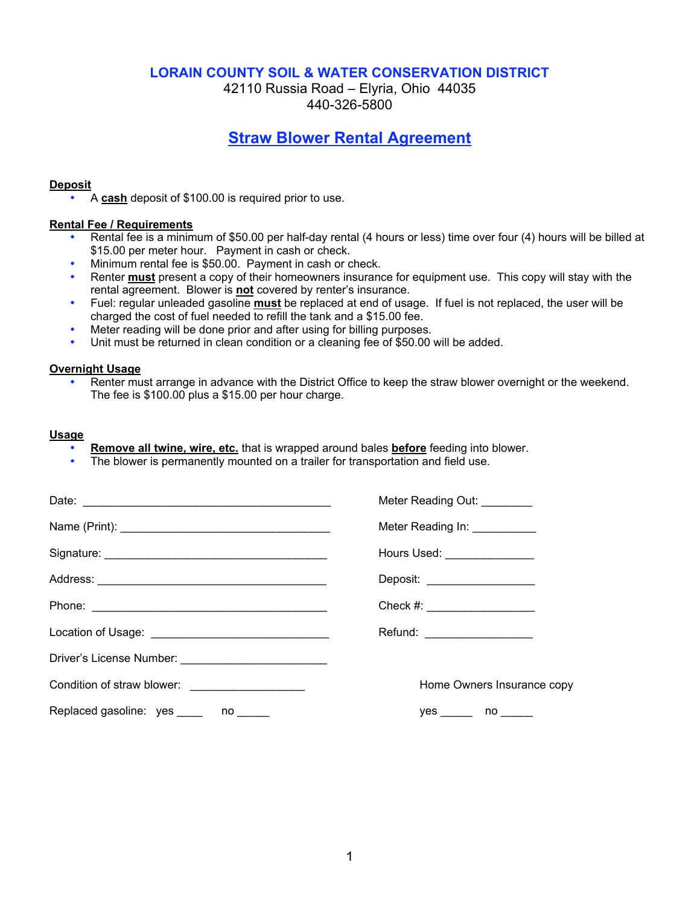### **LORAIN COUNTY SOIL & WATER CONSERVATION DISTRICT**

42110 Russia Road – Elyria, Ohio 44035 440-326-5800

# **Straw Blower Rental Agreement**

#### **Deposit**

• A **cash** deposit of \$100.00 is required prior to use.

#### **Rental Fee / Requirements**

- Rental fee is a minimum of \$50.00 per half-day rental (4 hours or less) time over four (4) hours will be billed at \$15.00 per meter hour. Payment in cash or check.
- Minimum rental fee is \$50.00. Payment in cash or check.
- Renter **must** present a copy of their homeowners insurance for equipment use. This copy will stay with the rental agreement. Blower is **not** covered by renter's insurance.
- Fuel: regular unleaded gasoline **must** be replaced at end of usage. If fuel is not replaced, the user will be charged the cost of fuel needed to refill the tank and a \$15.00 fee.
- Meter reading will be done prior and after using for billing purposes.
- Unit must be returned in clean condition or a cleaning fee of \$50.00 will be added.

#### **Overnight Usage**

• Renter must arrange in advance with the District Office to keep the straw blower overnight or the weekend. The fee is \$100.00 plus a \$15.00 per hour charge.

#### **Usage**

- **Remove all twine, wire, etc.** that is wrapped around bales **before** feeding into blower.
- The blower is permanently mounted on a trailer for transportation and field use.

|                                                        | Meter Reading Out: ________    |
|--------------------------------------------------------|--------------------------------|
|                                                        | Meter Reading In: ___________  |
|                                                        | Hours Used: ________________   |
|                                                        | Deposit: ____________________  |
|                                                        | Check #: _____________________ |
| Location of Usage: ___________________________________ | Refund: ___________________    |
| Driver's License Number: _____________________________ |                                |
| Condition of straw blower: __________________          | Home Owners Insurance copy     |
| Replaced gasoline: yes _____ no _____                  | no de la contrad<br>yes        |